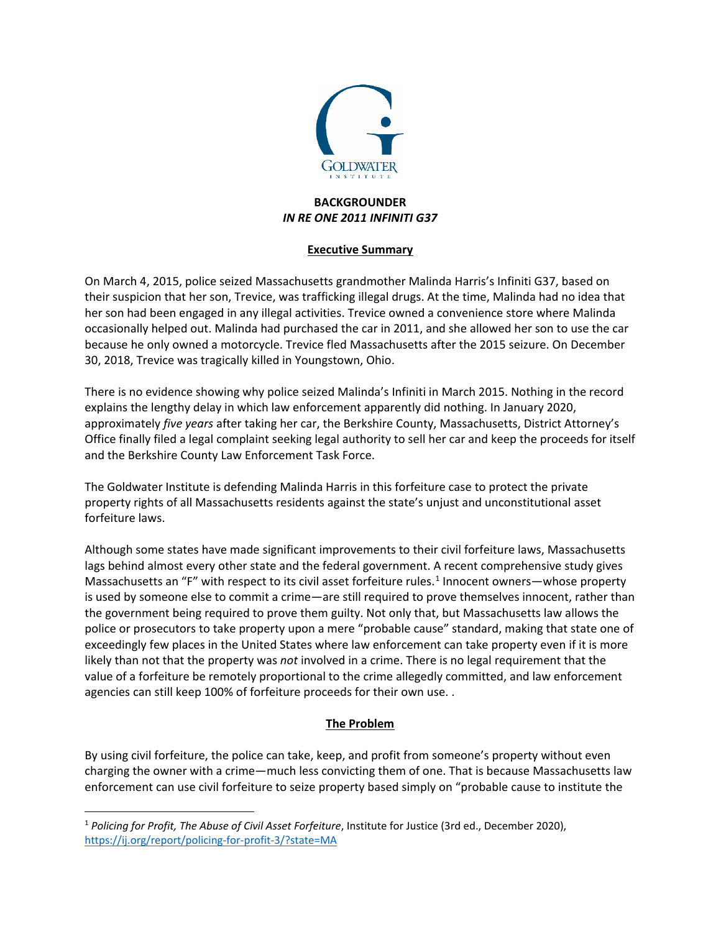

### **BACKGROUNDER** *IN RE ONE 2011 INFINITI G37*

#### **Executive Summary**

On March 4, 2015, police seized Massachusetts grandmother Malinda Harris's Infiniti G37, based on their suspicion that her son, Trevice, was trafficking illegal drugs. At the time, Malinda had no idea that her son had been engaged in any illegal activities. Trevice owned a convenience store where Malinda occasionally helped out. Malinda had purchased the car in 2011, and she allowed her son to use the car because he only owned a motorcycle. Trevice fled Massachusetts after the 2015 seizure. On December 30, 2018, Trevice was tragically killed in Youngstown, Ohio.

There is no evidence showing why police seized Malinda's Infiniti in March 2015. Nothing in the record explains the lengthy delay in which law enforcement apparently did nothing. In January 2020, approximately *five years* after taking her car, the Berkshire County, Massachusetts, District Attorney's Office finally filed a legal complaint seeking legal authority to sell her car and keep the proceeds for itself and the Berkshire County Law Enforcement Task Force.

The Goldwater Institute is defending Malinda Harris in this forfeiture case to protect the private property rights of all Massachusetts residents against the state's unjust and unconstitutional asset forfeiture laws.

Although some states have made significant improvements to their civil forfeiture laws, Massachusetts lags behind almost every other state and the federal government. A recent comprehensive study gives Massachusetts an "F" with respect to its civil asset forfeiture rules.<sup>[1](#page-0-0)</sup> Innocent owners—whose property is used by someone else to commit a crime—are still required to prove themselves innocent, rather than the government being required to prove them guilty. Not only that, but Massachusetts law allows the police or prosecutors to take property upon a mere "probable cause" standard, making that state one of exceedingly few places in the United States where law enforcement can take property even if it is more likely than not that the property was *not* involved in a crime. There is no legal requirement that the value of a forfeiture be remotely proportional to the crime allegedly committed, and law enforcement agencies can still keep 100% of forfeiture proceeds for their own use. .

# **The Problem**

By using civil forfeiture, the police can take, keep, and profit from someone's property without even charging the owner with a crime—much less convicting them of one. That is because Massachusetts law enforcement can use civil forfeiture to seize property based simply on "probable cause to institute the

<span id="page-0-0"></span> <sup>1</sup> *Policing for Profit, The Abuse of Civil Asset Forfeiture*, Institute for Justice (3rd ed., December 2020), <https://ij.org/report/policing-for-profit-3/?state=MA>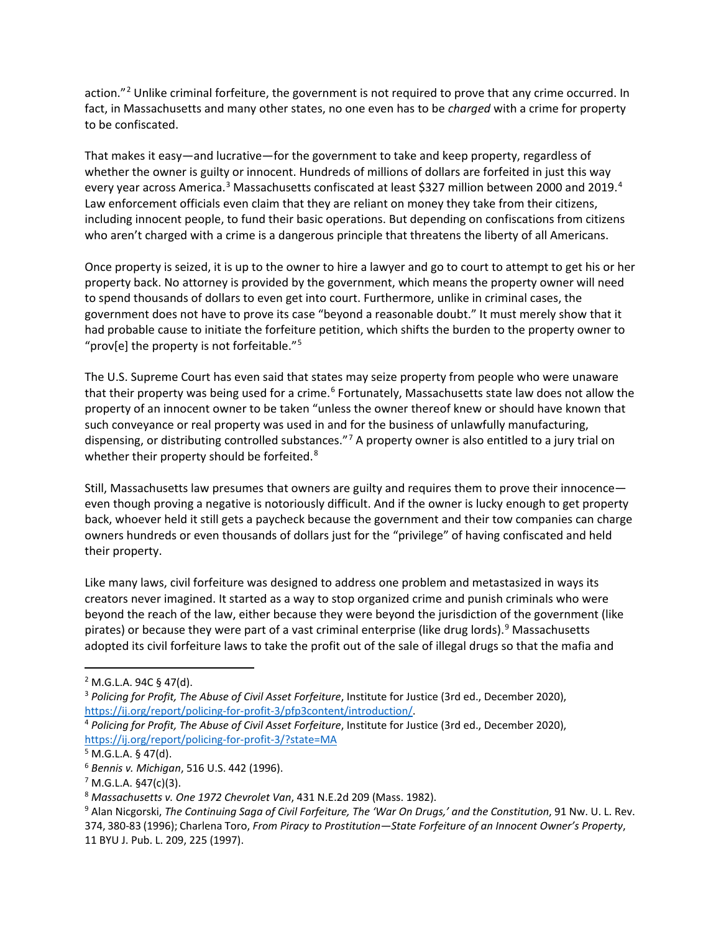action."<sup>[2](#page-1-0)</sup> Unlike criminal forfeiture, the government is not required to prove that any crime occurred. In fact, in Massachusetts and many other states, no one even has to be *charged* with a crime for property to be confiscated.

That makes it easy—and lucrative—for the government to take and keep property, regardless of whether the owner is guilty or innocent. Hundreds of millions of dollars are forfeited in just this way every year across America.<sup>[3](#page-1-1)</sup> Massachusetts confiscated at least \$327 million between 2000 and 2019.<sup>[4](#page-1-2)</sup> Law enforcement officials even claim that they are reliant on money they take from their citizens, including innocent people, to fund their basic operations. But depending on confiscations from citizens who aren't charged with a crime is a dangerous principle that threatens the liberty of all Americans.

Once property is seized, it is up to the owner to hire a lawyer and go to court to attempt to get his or her property back. No attorney is provided by the government, which means the property owner will need to spend thousands of dollars to even get into court. Furthermore, unlike in criminal cases, the government does not have to prove its case "beyond a reasonable doubt." It must merely show that it had probable cause to initiate the forfeiture petition, which shifts the burden to the property owner to "prov[e] the property is not forfeitable."<sup>[5](#page-1-3)</sup>

The U.S. Supreme Court has even said that states may seize property from people who were unaware that their property was being used for a crime.<sup>[6](#page-1-4)</sup> Fortunately, Massachusetts state law does not allow the property of an innocent owner to be taken "unless the owner thereof knew or should have known that such conveyance or real property was used in and for the business of unlawfully manufacturing, dispensing, or distributing controlled substances."<sup>[7](#page-1-5)</sup> A property owner is also entitled to a jury trial on whether their property should be forfeited.<sup>[8](#page-1-6)</sup>

Still, Massachusetts law presumes that owners are guilty and requires them to prove their innocence even though proving a negative is notoriously difficult. And if the owner is lucky enough to get property back, whoever held it still gets a paycheck because the government and their tow companies can charge owners hundreds or even thousands of dollars just for the "privilege" of having confiscated and held their property.

Like many laws, civil forfeiture was designed to address one problem and metastasized in ways its creators never imagined. It started as a way to stop organized crime and punish criminals who were beyond the reach of the law, either because they were beyond the jurisdiction of the government (like pirates) or because they were part of a vast criminal enterprise (like drug lords).[9](#page-1-7) Massachusetts adopted its civil forfeiture laws to take the profit out of the sale of illegal drugs so that the mafia and

<span id="page-1-0"></span> $2$  M.G.L.A. 94C § 47(d).

<span id="page-1-1"></span><sup>3</sup> *Policing for Profit, The Abuse of Civil Asset Forfeiture*, Institute for Justice (3rd ed., December 2020), [https://ij.org/report/policing-for-profit-3/pfp3content/introduction/.](https://ij.org/report/policing-for-profit-3/pfp3content/introduction/)

<span id="page-1-2"></span><sup>4</sup> *Policing for Profit, The Abuse of Civil Asset Forfeiture*, Institute for Justice (3rd ed., December 2020), <https://ij.org/report/policing-for-profit-3/?state=MA>

<span id="page-1-3"></span> $5$  M.G.L.A. § 47(d).

<span id="page-1-4"></span><sup>6</sup> *Bennis v. Michigan*, 516 U.S. 442 (1996).

<span id="page-1-5"></span> $7$  M.G.L.A. §47(c)(3).

<span id="page-1-6"></span><sup>8</sup> *Massachusetts v. One 1972 Chevrolet Van*, 431 N.E.2d 209 (Mass. 1982).

<span id="page-1-7"></span><sup>9</sup> Alan Nicgorski, *The Continuing Saga of Civil Forfeiture, The 'War On Drugs,' and the Constitution*, 91 Nw. U. L. Rev. 374, 380-83 (1996); Charlena Toro, *From Piracy to Prostitution—State Forfeiture of an Innocent Owner's Property*, 11 BYU J. Pub. L. 209, 225 (1997).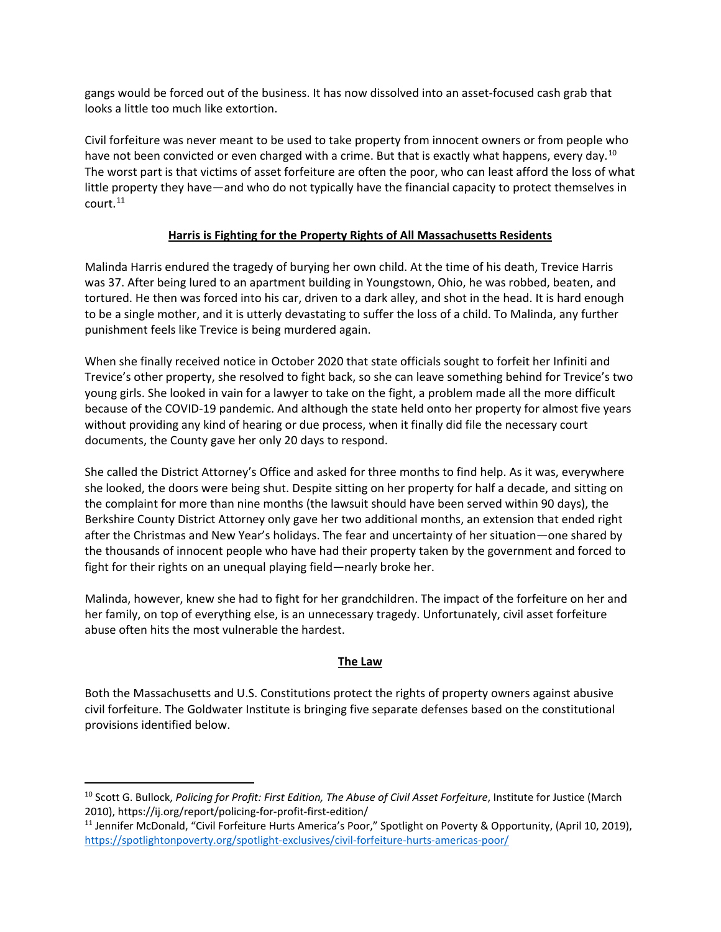gangs would be forced out of the business. It has now dissolved into an asset-focused cash grab that looks a little too much like extortion.

Civil forfeiture was never meant to be used to take property from innocent owners or from people who have not been convicted or even charged with a crime. But that is exactly what happens, every day.<sup>[10](#page-2-0)</sup> The worst part is that victims of asset forfeiture are often the poor, who can least afford the loss of what little property they have—and who do not typically have the financial capacity to protect themselves in court.[11](#page-2-1)

#### **Harris is Fighting for the Property Rights of All Massachusetts Residents**

Malinda Harris endured the tragedy of burying her own child. At the time of his death, Trevice Harris was 37. After being lured to an apartment building in Youngstown, Ohio, he was robbed, beaten, and tortured. He then was forced into his car, driven to a dark alley, and shot in the head. It is hard enough to be a single mother, and it is utterly devastating to suffer the loss of a child. To Malinda, any further punishment feels like Trevice is being murdered again.

When she finally received notice in October 2020 that state officials sought to forfeit her Infiniti and Trevice's other property, she resolved to fight back, so she can leave something behind for Trevice's two young girls. She looked in vain for a lawyer to take on the fight, a problem made all the more difficult because of the COVID-19 pandemic. And although the state held onto her property for almost five years without providing any kind of hearing or due process, when it finally did file the necessary court documents, the County gave her only 20 days to respond.

She called the District Attorney's Office and asked for three months to find help. As it was, everywhere she looked, the doors were being shut. Despite sitting on her property for half a decade, and sitting on the complaint for more than nine months (the lawsuit should have been served within 90 days), the Berkshire County District Attorney only gave her two additional months, an extension that ended right after the Christmas and New Year's holidays. The fear and uncertainty of her situation—one shared by the thousands of innocent people who have had their property taken by the government and forced to fight for their rights on an unequal playing field—nearly broke her.

Malinda, however, knew she had to fight for her grandchildren. The impact of the forfeiture on her and her family, on top of everything else, is an unnecessary tragedy. Unfortunately, civil asset forfeiture abuse often hits the most vulnerable the hardest.

## **The Law**

Both the Massachusetts and U.S. Constitutions protect the rights of property owners against abusive civil forfeiture. The Goldwater Institute is bringing five separate defenses based on the constitutional provisions identified below.

<span id="page-2-0"></span> <sup>10</sup> Scott G. Bullock, *Policing for Profit: First Edition, The Abuse of Civil Asset Forfeiture*, Institute for Justice (March 2010), https://ij.org/report/policing-for-profit-first-edition/

<span id="page-2-1"></span><sup>&</sup>lt;sup>11</sup> Jennifer McDonald, "Civil Forfeiture Hurts America's Poor," Spotlight on Poverty & Opportunity, (April 10, 2019), <https://spotlightonpoverty.org/spotlight-exclusives/civil-forfeiture-hurts-americas-poor/>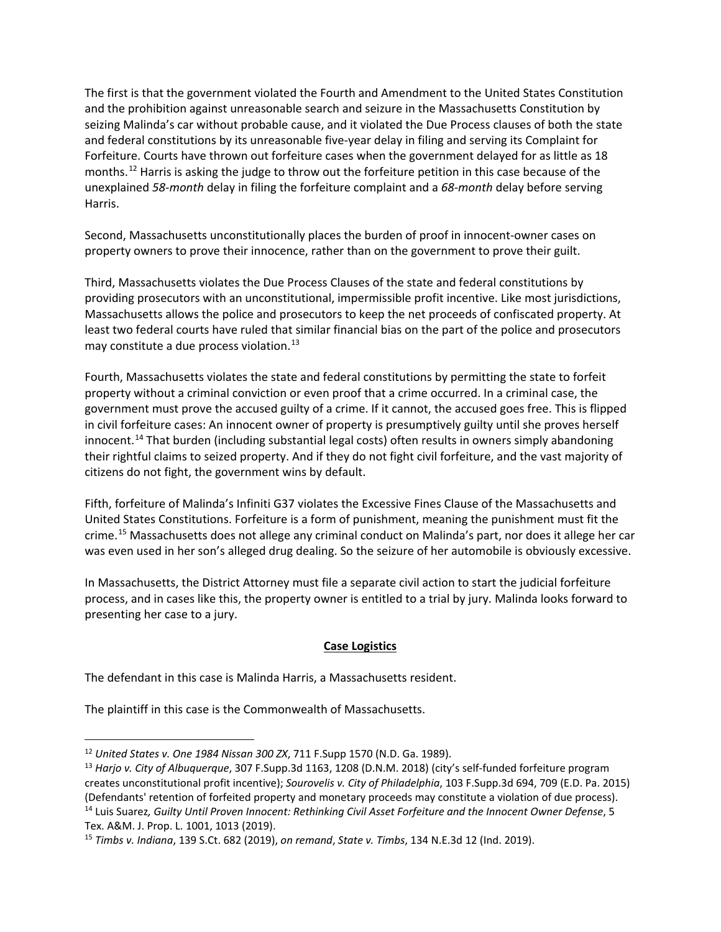The first is that the government violated the Fourth and Amendment to the United States Constitution and the prohibition against unreasonable search and seizure in the Massachusetts Constitution by seizing Malinda's car without probable cause, and it violated the Due Process clauses of both the state and federal constitutions by its unreasonable five-year delay in filing and serving its Complaint for Forfeiture. Courts have thrown out forfeiture cases when the government delayed for as little as 18 months.[12](#page-3-0) Harris is asking the judge to throw out the forfeiture petition in this case because of the unexplained *58-month* delay in filing the forfeiture complaint and a *68-month* delay before serving Harris.

Second, Massachusetts unconstitutionally places the burden of proof in innocent-owner cases on property owners to prove their innocence, rather than on the government to prove their guilt.

Third, Massachusetts violates the Due Process Clauses of the state and federal constitutions by providing prosecutors with an unconstitutional, impermissible profit incentive. Like most jurisdictions, Massachusetts allows the police and prosecutors to keep the net proceeds of confiscated property. At least two federal courts have ruled that similar financial bias on the part of the police and prosecutors may constitute a due process violation.<sup>[13](#page-3-1)</sup>

Fourth, Massachusetts violates the state and federal constitutions by permitting the state to forfeit property without a criminal conviction or even proof that a crime occurred. In a criminal case, the government must prove the accused guilty of a crime. If it cannot, the accused goes free. This is flipped in civil forfeiture cases: An innocent owner of property is presumptively guilty until she proves herself innocent.<sup>[14](#page-3-2)</sup> That burden (including substantial legal costs) often results in owners simply abandoning their rightful claims to seized property. And if they do not fight civil forfeiture, and the vast majority of citizens do not fight, the government wins by default.

Fifth, forfeiture of Malinda's Infiniti G37 violates the Excessive Fines Clause of the Massachusetts and United States Constitutions. Forfeiture is a form of punishment, meaning the punishment must fit the crime.[15](#page-3-3) Massachusetts does not allege any criminal conduct on Malinda's part, nor does it allege her car was even used in her son's alleged drug dealing. So the seizure of her automobile is obviously excessive.

In Massachusetts, the District Attorney must file a separate civil action to start the judicial forfeiture process, and in cases like this, the property owner is entitled to a trial by jury. Malinda looks forward to presenting her case to a jury.

#### **Case Logistics**

The defendant in this case is Malinda Harris, a Massachusetts resident.

The plaintiff in this case is the Commonwealth of Massachusetts.

<span id="page-3-0"></span> <sup>12</sup> *United States v. One 1984 Nissan 300 ZX*, 711 F.Supp 1570 (N.D. Ga. 1989).

<span id="page-3-1"></span><sup>13</sup> *Harjo v. City of Albuquerque*, 307 F.Supp.3d 1163, 1208 (D.N.M. 2018) (city's self-funded forfeiture program creates unconstitutional profit incentive); *Sourovelis v. City of Philadelphia*, 103 F.Supp.3d 694, 709 (E.D. Pa. 2015) (Defendants' retention of forfeited property and monetary proceeds may constitute a violation of due process).

<span id="page-3-2"></span><sup>14</sup> Luis Suarez*, Guilty Until Proven Innocent: Rethinking Civil Asset Forfeiture and the Innocent Owner Defense*, 5 Tex. A&M. J. Prop. L. 1001, 1013 (2019).

<span id="page-3-3"></span><sup>15</sup> *Timbs v. Indiana*, 139 S.Ct. 682 (2019), *on remand*, *State v. Timbs*, 134 N.E.3d 12 (Ind. 2019).